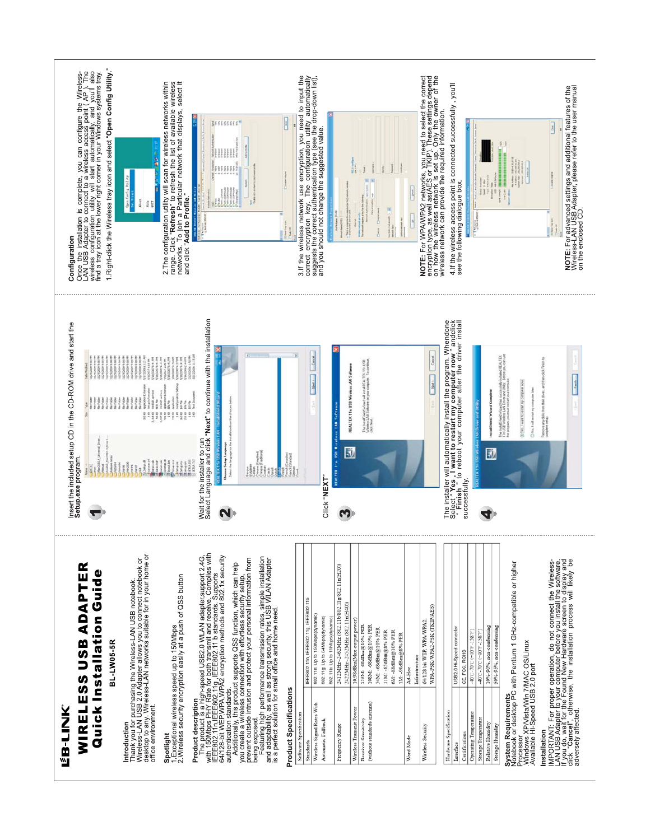